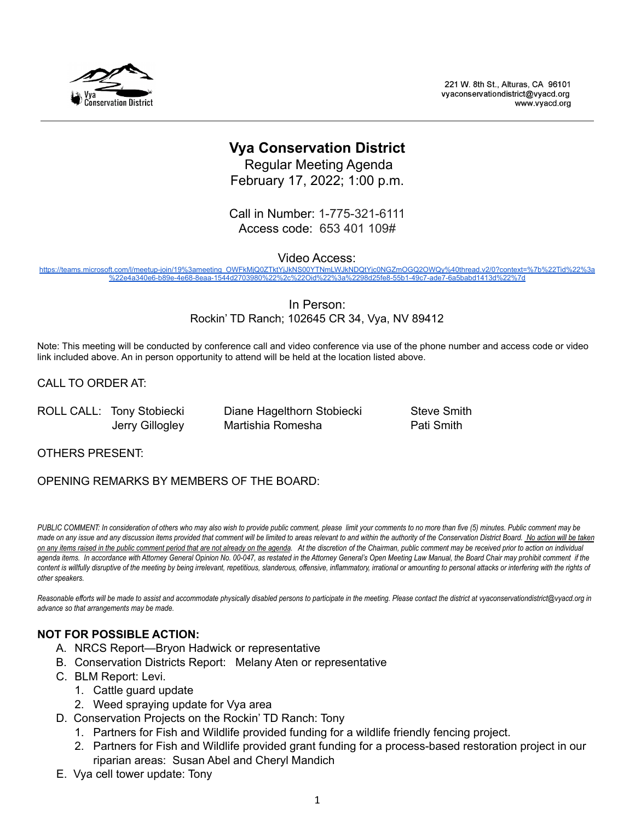

221 W. 8th St., Alturas, CA 96101 vvaconservationdistrict@vvacd.org www.vyacd.org

# **Vya Conservation District**

Regular Meeting Agenda February 17, 2022; 1:00 p.m.

Call in Number: 1-775-321-6111 Access code: 653 401 109#

Video Access:

[https://teams.microsoft.com/l/meetup-join/19%3ameeting\\_OWFkMjQ0ZTktYjJkNS00YTNmLWJkNDQtYjc0NGZmOGQ2OWQy%40thread.v2/0?context=%7b%22Tid%22%3a](https://teams.microsoft.com/l/meetup-join/19%3ameeting_OWFkMjQ0ZTktYjJkNS00YTNmLWJkNDQtYjc0NGZmOGQ2OWQy%40thread.v2/0?context=%7b%22Tid%22%3a%22e4a340e6-b89e-4e68-8eaa-1544d2703980%22%2c%22Oid%22%3a%2298d25fe8-55b1-49c7-ade7-6a5babd1413d%22%7d) [%22e4a340e6-b89e-4e68-8eaa-1544d2703980%22%2c%22Oid%22%3a%2298d25fe8-55b1-49c7-ade7-6a5babd1413d%22%7d](https://teams.microsoft.com/l/meetup-join/19%3ameeting_OWFkMjQ0ZTktYjJkNS00YTNmLWJkNDQtYjc0NGZmOGQ2OWQy%40thread.v2/0?context=%7b%22Tid%22%3a%22e4a340e6-b89e-4e68-8eaa-1544d2703980%22%2c%22Oid%22%3a%2298d25fe8-55b1-49c7-ade7-6a5babd1413d%22%7d)

> In Person: Rockin' TD Ranch; 102645 CR 34, Vya, NV 89412

Note: This meeting will be conducted by conference call and video conference via use of the phone number and access code or video link included above. An in person opportunity to attend will be held at the location listed above.

CALL TO ORDER AT:

ROLL CALL: Tony Stobiecki Diane Hagelthorn Stobiecki Steve Smith

Jerry Gillogley Martishia Romesha Pati Smith

OTHERS PRESENT:

# OPENING REMARKS BY MEMBERS OF THE BOARD:

PUBLIC COMMENT: In consideration of others who may also wish to provide public comment, please limit your comments to no more than five (5) minutes. Public comment may be made on any issue and any discussion items provided that comment will be limited to areas relevant to and within the authority of the Conservation District Board. No action will be taken on any items raised in the public comment period that are not already on the agenda. At the discretion of the Chairman, public comment may be received prior to action on individual agenda items. In accordance with Attorney General Opinion No. 00-047, as restated in the Attorney General's Open Meeting Law Manual, the Board Chair may prohibit comment if the content is willfully disruptive of the meeting by being irrelevant, repetitious, slanderous, offensive, inflammatory, irrational or amounting to personal attacks or interfering with the rights of *other speakers.*

Reasonable efforts will be made to assist and accommodate physically disabled persons to participate in the meeting. Please contact the district at vyaconservationdistrict@vyacd.org in *advance so that arrangements may be made.*

# **NOT FOR POSSIBLE ACTION:**

- A. NRCS Report—Bryon Hadwick or representative
- B. Conservation Districts Report: Melany Aten or representative
- C. BLM Report: Levi.
	- 1. Cattle guard update
	- 2. Weed spraying update for Vya area
- D. Conservation Projects on the Rockin' TD Ranch: Tony
	- 1. Partners for Fish and Wildlife provided funding for a wildlife friendly fencing project.
	- 2. Partners for Fish and Wildlife provided grant funding for a process-based restoration project in our riparian areas: Susan Abel and Cheryl Mandich
- E. Vya cell tower update: Tony